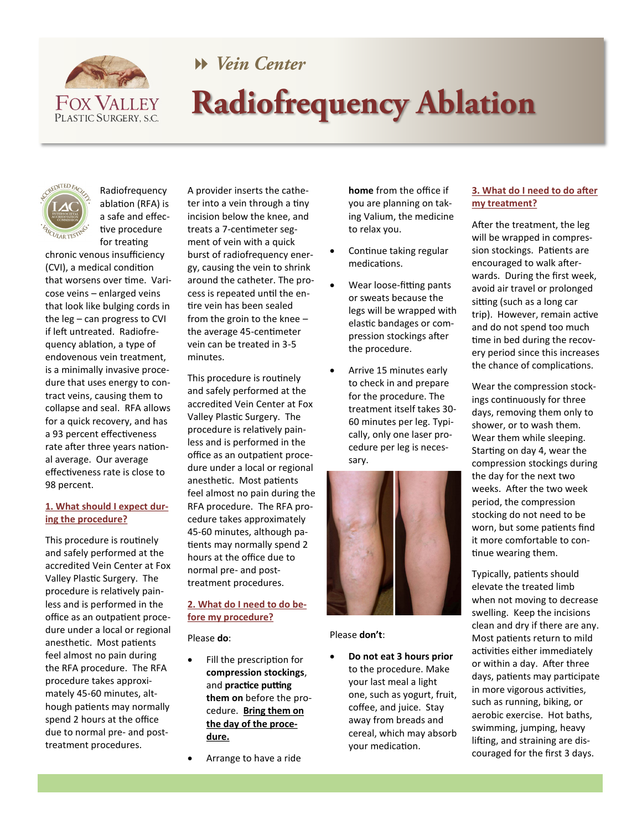

# Wein Center **Radiofrequency Ablation**



Radiofrequency ablation (RFA) is a safe and effective procedure for treating

chronic venous insufficiency (CVI), a medical condition that worsens over time. Varicose veins – enlarged veins that look like bulging cords in the leg – can progress to CVI if left untreated. Radiofrequency ablation, a type of endovenous vein treatment, is a minimally invasive procedure that uses energy to contract veins, causing them to collapse and seal. RFA allows for a quick recovery, and has a 93 percent effectiveness rate after three years national average. Our average effectiveness rate is close to 98 percent.

## **1. What should I expect during the procedure?**

This procedure is routinely and safely performed at the accredited Vein Center at Fox Valley Plastic Surgery. The procedure is relatively painless and is performed in the office as an outpatient procedure under a local or regional anesthetic. Most patients feel almost no pain during the RFA procedure. The RFA procedure takes approximately 45-60 minutes, although patients may normally spend 2 hours at the office due to normal pre- and posttreatment procedures.

A provider inserts the catheter into a vein through a tiny incision below the knee, and treats a 7-centimeter segment of vein with a quick burst of radiofrequency energy, causing the vein to shrink around the catheter. The process is repeated until the entire vein has been sealed from the groin to the knee – the average 45-centimeter vein can be treated in 3-5 minutes.

This procedure is routinely and safely performed at the accredited Vein Center at Fox Valley Plastic Surgery. The procedure is relatively painless and is performed in the office as an outpatient procedure under a local or regional anesthetic. Most patients feel almost no pain during the RFA procedure. The RFA procedure takes approximately 45-60 minutes, although patients may normally spend 2 hours at the office due to normal pre- and posttreatment procedures.

## **2. What do I need to do before my procedure?**

Please **do**:

- Fill the prescription for **compression stockings**, and **practice putting them on** before the procedure. **Bring them on the day of the procedure.**
	- Arrange to have a ride

**home** from the office if you are planning on taking Valium, the medicine to relax you.

- Continue taking regular medications.
- Wear loose-fitting pants or sweats because the legs will be wrapped with elastic bandages or compression stockings after the procedure.
- Arrive 15 minutes early to check in and prepare for the procedure. The treatment itself takes 30- 60 minutes per leg. Typically, only one laser procedure per leg is necessary.



Please **don't**:

 **Do not eat 3 hours prior**  to the procedure. Make your last meal a light one, such as yogurt, fruit, coffee, and juice. Stay away from breads and cereal, which may absorb your medication.

## **3. What do I need to do after my treatment?**

After the treatment, the leg will be wrapped in compression stockings. Patients are encouraged to walk afterwards. During the first week, avoid air travel or prolonged sitting (such as a long car trip). However, remain active and do not spend too much time in bed during the recovery period since this increases the chance of complications.

Wear the compression stockings continuously for three days, removing them only to shower, or to wash them. Wear them while sleeping. Starting on day 4, wear the compression stockings during the day for the next two weeks. After the two week period, the compression stocking do not need to be worn, but some patients find it more comfortable to continue wearing them.

Typically, patients should elevate the treated limb when not moving to decrease swelling. Keep the incisions clean and dry if there are any. Most patients return to mild activities either immediately or within a day. After three days, patients may participate in more vigorous activities, such as running, biking, or aerobic exercise. Hot baths, swimming, jumping, heavy lifting, and straining are discouraged for the first 3 days.